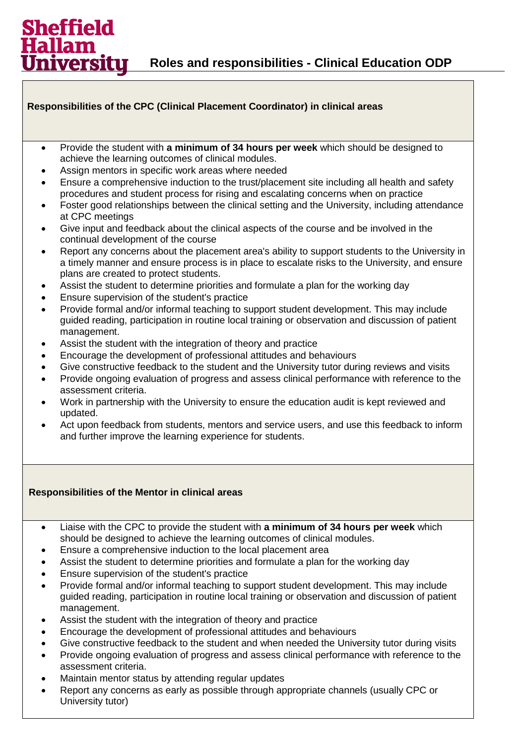## **Responsibilities of the CPC (Clinical Placement Coordinator) in clinical areas**

- Provide the student with **a minimum of 34 hours per week** which should be designed to achieve the learning outcomes of clinical modules.
- Assign mentors in specific work areas where needed

Sheffield

iversitu

- Ensure a comprehensive induction to the trust/placement site including all health and safety procedures and student process for rising and escalating concerns when on practice
- Foster good relationships between the clinical setting and the University, including attendance at CPC meetings
- Give input and feedback about the clinical aspects of the course and be involved in the continual development of the course
- Report any concerns about the placement area's ability to support students to the University in a timely manner and ensure process is in place to escalate risks to the University, and ensure plans are created to protect students.
- Assist the student to determine priorities and formulate a plan for the working day
- Ensure supervision of the student's practice
- Provide formal and/or informal teaching to support student development. This may include guided reading, participation in routine local training or observation and discussion of patient management.
- Assist the student with the integration of theory and practice
- Encourage the development of professional attitudes and behaviours
- Give constructive feedback to the student and the University tutor during reviews and visits
- Provide ongoing evaluation of progress and assess clinical performance with reference to the assessment criteria.
- Work in partnership with the University to ensure the education audit is kept reviewed and updated.
- Act upon feedback from students, mentors and service users, and use this feedback to inform and further improve the learning experience for students.

## **Responsibilities of the Mentor in clinical areas**

- Liaise with the CPC to provide the student with **a minimum of 34 hours per week** which should be designed to achieve the learning outcomes of clinical modules.
- Ensure a comprehensive induction to the local placement area
- Assist the student to determine priorities and formulate a plan for the working day
- Ensure supervision of the student's practice
- Provide formal and/or informal teaching to support student development. This may include guided reading, participation in routine local training or observation and discussion of patient management.
- Assist the student with the integration of theory and practice
- Encourage the development of professional attitudes and behaviours
- Give constructive feedback to the student and when needed the University tutor during visits
- Provide ongoing evaluation of progress and assess clinical performance with reference to the assessment criteria.
- Maintain mentor status by attending regular updates
- Report any concerns as early as possible through appropriate channels (usually CPC or University tutor)